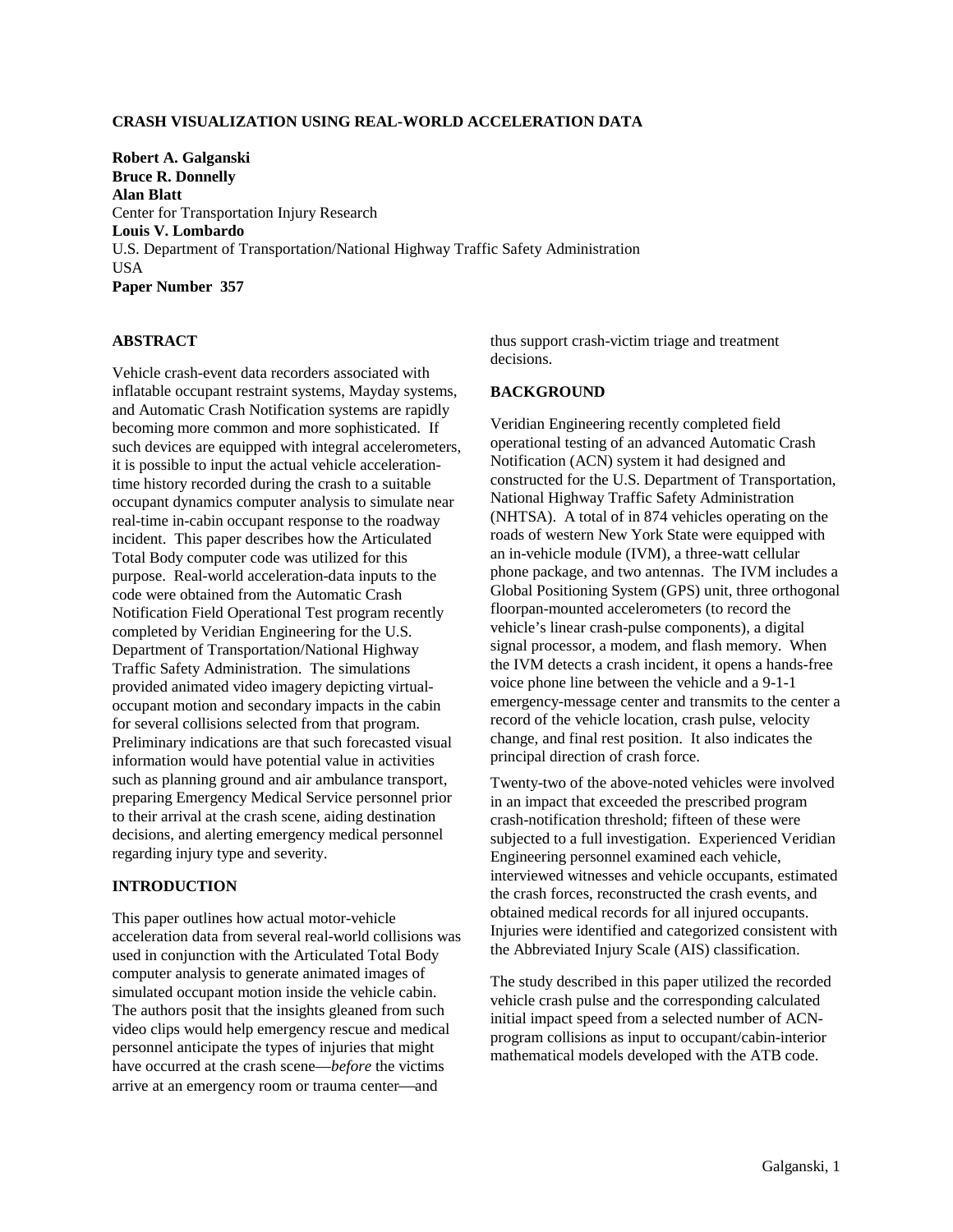#### **CRASH VISUALIZATION USING REAL-WORLD ACCELERATION DATA**

**Robert A. Galganski Bruce R. Donnelly Alan Blatt**  Center for Transportation Injury Research **Louis V. Lombardo**  U.S. Department of Transportation/National Highway Traffic Safety Administration USA **Paper Number 357** 

### **ABSTRACT**

Vehicle crash-event data recorders associated with inflatable occupant restraint systems, Mayday systems, and Automatic Crash Notification systems are rapidly becoming more common and more sophisticated. If such devices are equipped with integral accelerometers, it is possible to input the actual vehicle accelerationtime history recorded during the crash to a suitable occupant dynamics computer analysis to simulate near real-time in-cabin occupant response to the roadway incident. This paper describes how the Articulated Total Body computer code was utilized for this purpose. Real-world acceleration-data inputs to the code were obtained from the Automatic Crash Notification Field Operational Test program recently completed by Veridian Engineering for the U.S. Department of Transportation/National Highway Traffic Safety Administration. The simulations provided animated video imagery depicting virtualoccupant motion and secondary impacts in the cabin for several collisions selected from that program. Preliminary indications are that such forecasted visual information would have potential value in activities such as planning ground and air ambulance transport, preparing Emergency Medical Service personnel prior to their arrival at the crash scene, aiding destination decisions, and alerting emergency medical personnel regarding injury type and severity.

#### **INTRODUCTION**

This paper outlines how actual motor-vehicle acceleration data from several real-world collisions was used in conjunction with the Articulated Total Body computer analysis to generate animated images of simulated occupant motion inside the vehicle cabin. The authors posit that the insights gleaned from such video clips would help emergency rescue and medical personnel anticipate the types of injuries that might have occurred at the crash scene—*before* the victims arrive at an emergency room or trauma center—and

thus support crash-victim triage and treatment decisions.

#### **BACKGROUND**

Veridian Engineering recently completed field operational testing of an advanced Automatic Crash Notification (ACN) system it had designed and constructed for the U.S. Department of Transportation, National Highway Traffic Safety Administration (NHTSA). A total of in 874 vehicles operating on the roads of western New York State were equipped with an in-vehicle module (IVM), a three-watt cellular phone package, and two antennas. The IVM includes a Global Positioning System (GPS) unit, three orthogonal floorpan-mounted accelerometers (to record the vehicle's linear crash-pulse components), a digital signal processor, a modem, and flash memory. When the IVM detects a crash incident, it opens a hands-free voice phone line between the vehicle and a 9-1-1 emergency-message center and transmits to the center a record of the vehicle location, crash pulse, velocity change, and final rest position. It also indicates the principal direction of crash force.

Twenty-two of the above-noted vehicles were involved in an impact that exceeded the prescribed program crash-notification threshold; fifteen of these were subjected to a full investigation. Experienced Veridian Engineering personnel examined each vehicle, interviewed witnesses and vehicle occupants, estimated the crash forces, reconstructed the crash events, and obtained medical records for all injured occupants. Injuries were identified and categorized consistent with the Abbreviated Injury Scale (AIS) classification.

The study described in this paper utilized the recorded vehicle crash pulse and the corresponding calculated initial impact speed from a selected number of ACNprogram collisions as input to occupant/cabin-interior mathematical models developed with the ATB code.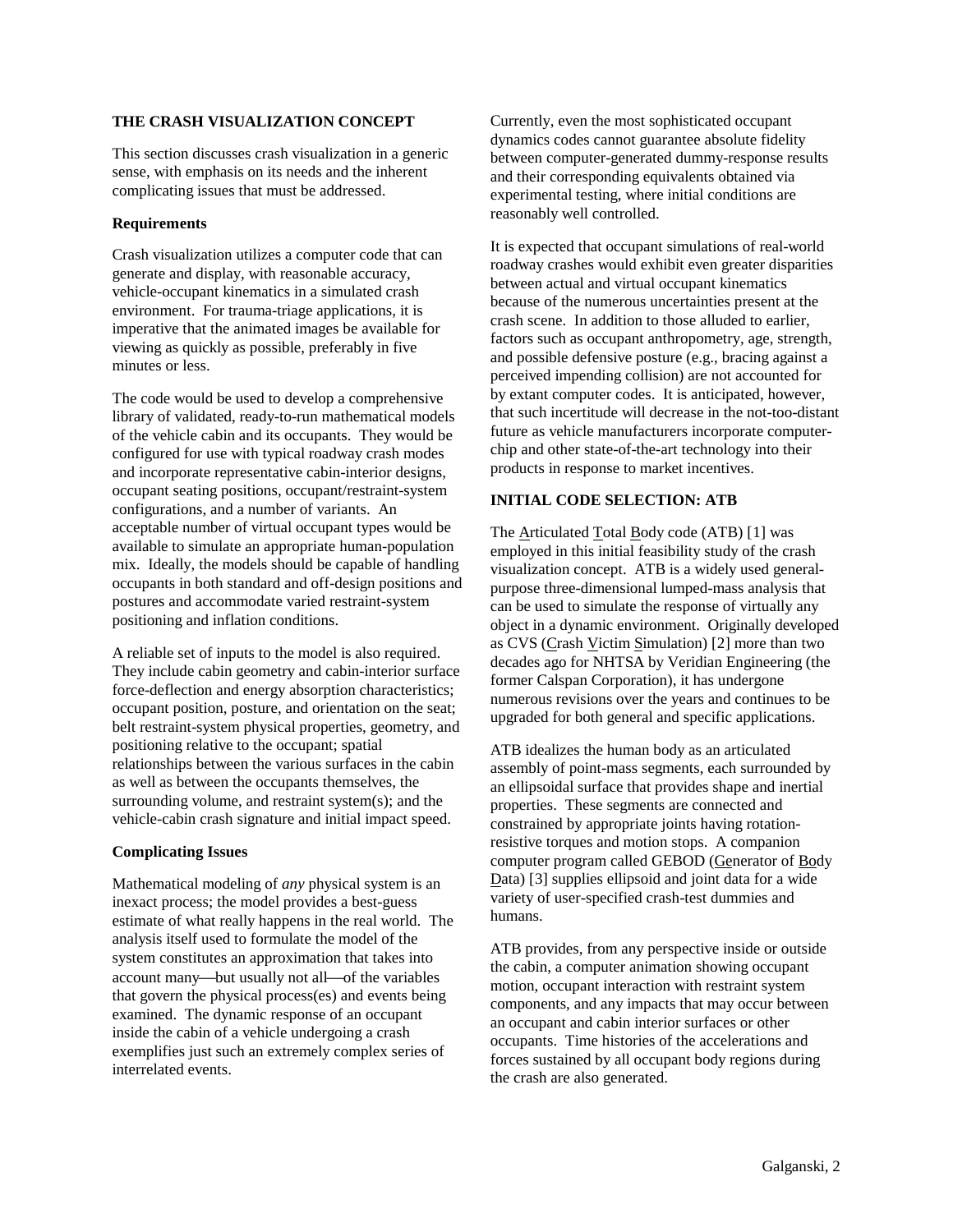### **THE CRASH VISUALIZATION CONCEPT**

This section discusses crash visualization in a generic sense, with emphasis on its needs and the inherent complicating issues that must be addressed.

### **Requirements**

Crash visualization utilizes a computer code that can generate and display, with reasonable accuracy, vehicle-occupant kinematics in a simulated crash environment. For trauma-triage applications, it is imperative that the animated images be available for viewing as quickly as possible, preferably in five minutes or less.

The code would be used to develop a comprehensive library of validated, ready-to-run mathematical models of the vehicle cabin and its occupants. They would be configured for use with typical roadway crash modes and incorporate representative cabin-interior designs, occupant seating positions, occupant/restraint-system configurations, and a number of variants. An acceptable number of virtual occupant types would be available to simulate an appropriate human-population mix. Ideally, the models should be capable of handling occupants in both standard and off-design positions and postures and accommodate varied restraint-system positioning and inflation conditions.

A reliable set of inputs to the model is also required. They include cabin geometry and cabin-interior surface force-deflection and energy absorption characteristics; occupant position, posture, and orientation on the seat; belt restraint-system physical properties, geometry, and positioning relative to the occupant; spatial relationships between the various surfaces in the cabin as well as between the occupants themselves, the surrounding volume, and restraint system(s); and the vehicle-cabin crash signature and initial impact speed.

# **Complicating Issues**

Mathematical modeling of *any* physical system is an inexact process; the model provides a best-guess estimate of what really happens in the real world. The analysis itself used to formulate the model of the system constitutes an approximation that takes into account many—but usually not all—of the variables that govern the physical process(es) and events being examined. The dynamic response of an occupant inside the cabin of a vehicle undergoing a crash exemplifies just such an extremely complex series of interrelated events.

Currently, even the most sophisticated occupant dynamics codes cannot guarantee absolute fidelity between computer-generated dummy-response results and their corresponding equivalents obtained via experimental testing, where initial conditions are reasonably well controlled.

It is expected that occupant simulations of real-world roadway crashes would exhibit even greater disparities between actual and virtual occupant kinematics because of the numerous uncertainties present at the crash scene. In addition to those alluded to earlier, factors such as occupant anthropometry, age, strength, and possible defensive posture (e.g., bracing against a perceived impending collision) are not accounted for by extant computer codes. It is anticipated, however, that such incertitude will decrease in the not-too-distant future as vehicle manufacturers incorporate computerchip and other state-of-the-art technology into their products in response to market incentives.

# **INITIAL CODE SELECTION: ATB**

The Articulated Total Body code (ATB) [1] was employed in this initial feasibility study of the crash visualization concept. ATB is a widely used generalpurpose three-dimensional lumped-mass analysis that can be used to simulate the response of virtually any object in a dynamic environment. Originally developed as CVS (Crash Victim Simulation) [2] more than two decades ago for NHTSA by Veridian Engineering (the former Calspan Corporation), it has undergone numerous revisions over the years and continues to be upgraded for both general and specific applications.

ATB idealizes the human body as an articulated assembly of point-mass segments, each surrounded by an ellipsoidal surface that provides shape and inertial properties. These segments are connected and constrained by appropriate joints having rotationresistive torques and motion stops. A companion computer program called GEBOD (Generator of Body Data) [3] supplies ellipsoid and joint data for a wide variety of user-specified crash-test dummies and humans.

ATB provides, from any perspective inside or outside the cabin, a computer animation showing occupant motion, occupant interaction with restraint system components, and any impacts that may occur between an occupant and cabin interior surfaces or other occupants. Time histories of the accelerations and forces sustained by all occupant body regions during the crash are also generated.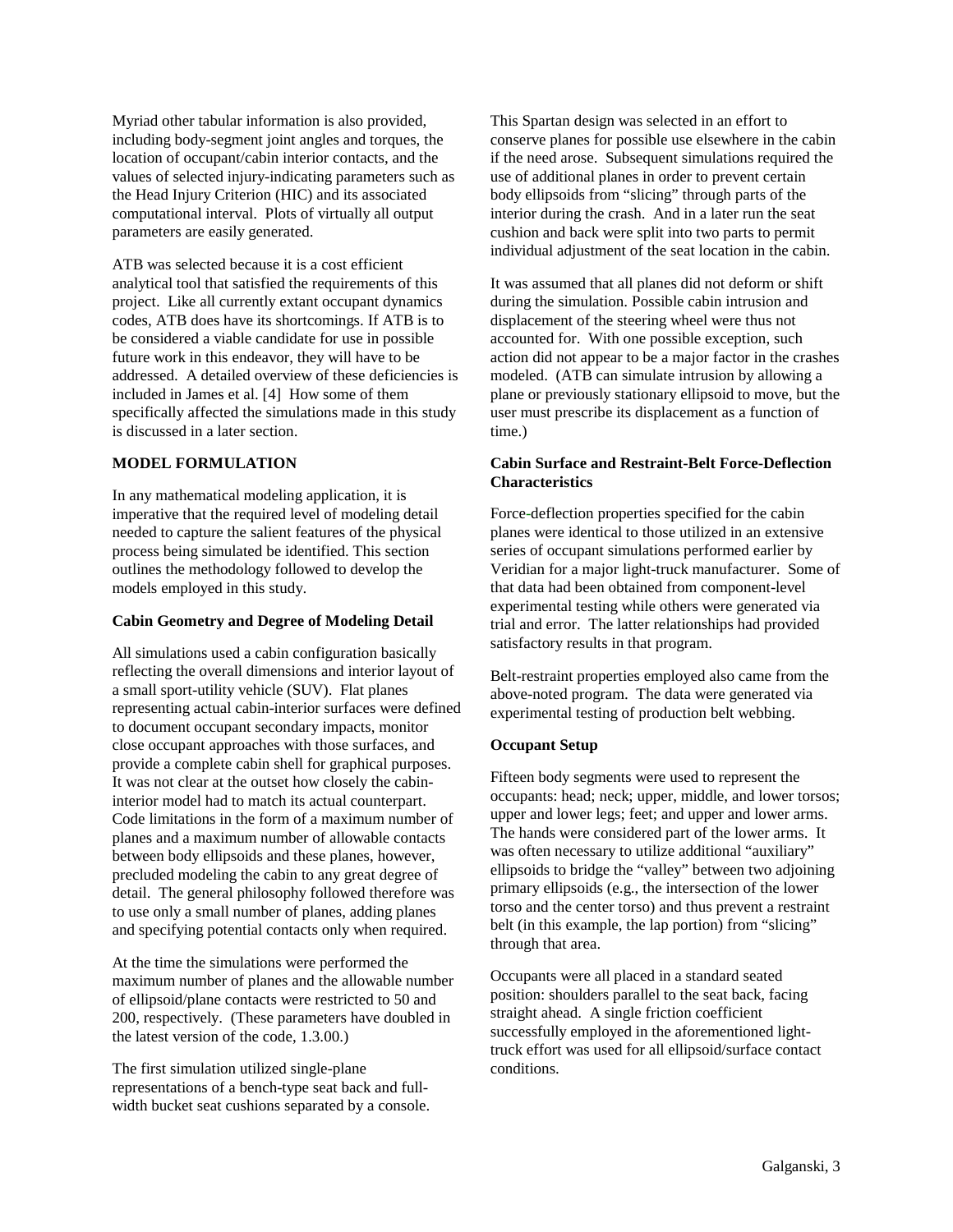Myriad other tabular information is also provided, including body-segment joint angles and torques, the location of occupant/cabin interior contacts, and the values of selected injury-indicating parameters such as the Head Injury Criterion (HIC) and its associated computational interval. Plots of virtually all output parameters are easily generated.

ATB was selected because it is a cost efficient analytical tool that satisfied the requirements of this project. Like all currently extant occupant dynamics codes, ATB does have its shortcomings. If ATB is to be considered a viable candidate for use in possible future work in this endeavor, they will have to be addressed. A detailed overview of these deficiencies is included in James et al. [4] How some of them specifically affected the simulations made in this study is discussed in a later section.

### **MODEL FORMULATION**

In any mathematical modeling application, it is imperative that the required level of modeling detail needed to capture the salient features of the physical process being simulated be identified. This section outlines the methodology followed to develop the models employed in this study.

### **Cabin Geometry and Degree of Modeling Detail**

All simulations used a cabin configuration basically reflecting the overall dimensions and interior layout of a small sport-utility vehicle (SUV). Flat planes representing actual cabin-interior surfaces were defined to document occupant secondary impacts, monitor close occupant approaches with those surfaces, and provide a complete cabin shell for graphical purposes. It was not clear at the outset how closely the cabininterior model had to match its actual counterpart. Code limitations in the form of a maximum number of planes and a maximum number of allowable contacts between body ellipsoids and these planes, however, precluded modeling the cabin to any great degree of detail. The general philosophy followed therefore was to use only a small number of planes, adding planes and specifying potential contacts only when required.

At the time the simulations were performed the maximum number of planes and the allowable number of ellipsoid/plane contacts were restricted to 50 and 200, respectively. (These parameters have doubled in the latest version of the code, 1.3.00.)

The first simulation utilized single-plane representations of a bench-type seat back and fullwidth bucket seat cushions separated by a console. This Spartan design was selected in an effort to conserve planes for possible use elsewhere in the cabin if the need arose. Subsequent simulations required the use of additional planes in order to prevent certain body ellipsoids from "slicing" through parts of the interior during the crash. And in a later run the seat cushion and back were split into two parts to permit individual adjustment of the seat location in the cabin.

It was assumed that all planes did not deform or shift during the simulation. Possible cabin intrusion and displacement of the steering wheel were thus not accounted for. With one possible exception, such action did not appear to be a major factor in the crashes modeled. (ATB can simulate intrusion by allowing a plane or previously stationary ellipsoid to move, but the user must prescribe its displacement as a function of time.)

### **Cabin Surface and Restraint-Belt Force-Deflection Characteristics**

Force-deflection properties specified for the cabin planes were identical to those utilized in an extensive series of occupant simulations performed earlier by Veridian for a major light-truck manufacturer. Some of that data had been obtained from component-level experimental testing while others were generated via trial and error. The latter relationships had provided satisfactory results in that program.

Belt-restraint properties employed also came from the above-noted program. The data were generated via experimental testing of production belt webbing.

# **Occupant Setup**

Fifteen body segments were used to represent the occupants: head; neck; upper, middle, and lower torsos; upper and lower legs; feet; and upper and lower arms. The hands were considered part of the lower arms. It was often necessary to utilize additional "auxiliary" ellipsoids to bridge the "valley" between two adjoining primary ellipsoids (e.g., the intersection of the lower torso and the center torso) and thus prevent a restraint belt (in this example, the lap portion) from "slicing" through that area.

Occupants were all placed in a standard seated position: shoulders parallel to the seat back, facing straight ahead. A single friction coefficient successfully employed in the aforementioned lighttruck effort was used for all ellipsoid/surface contact conditions.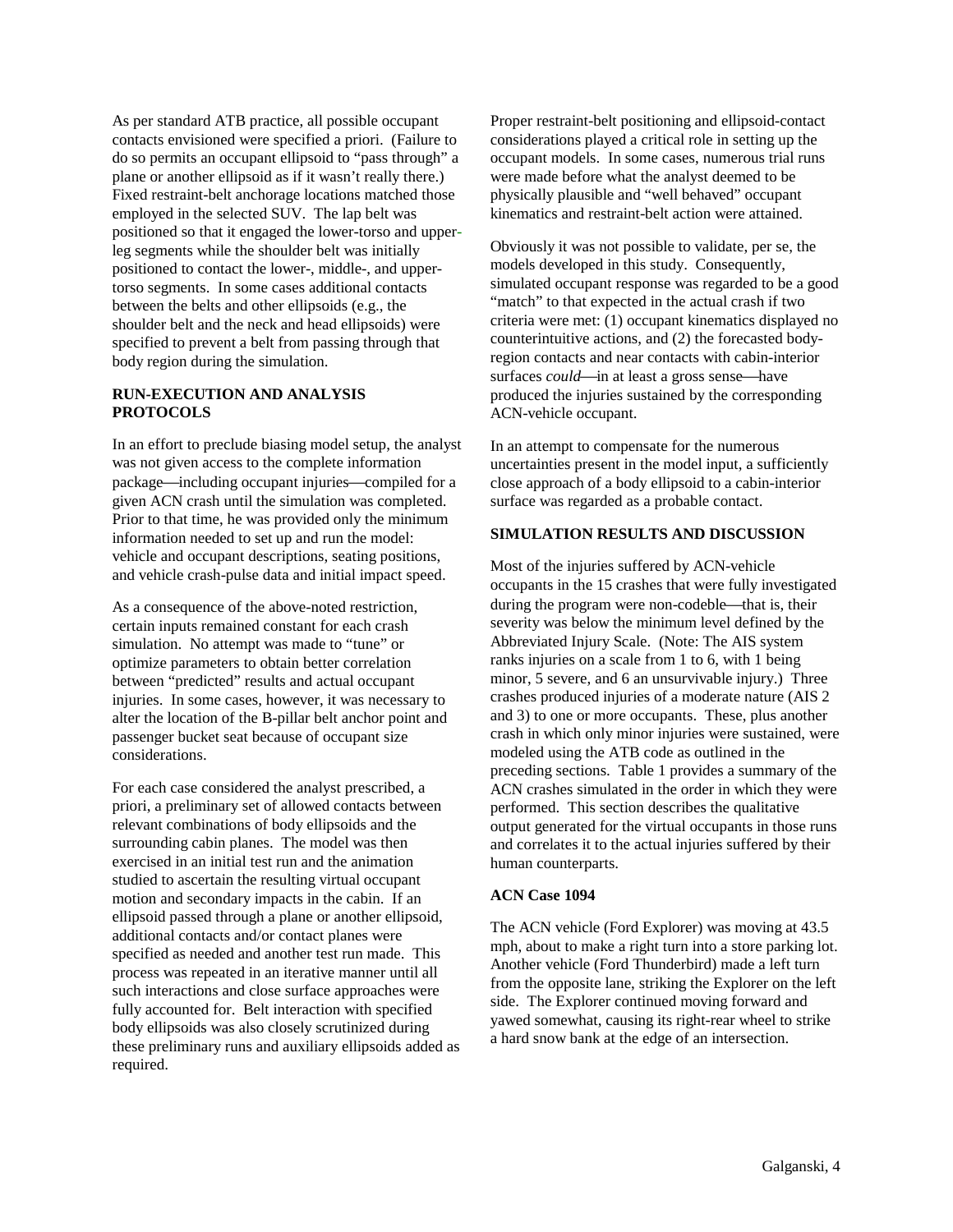As per standard ATB practice, all possible occupant contacts envisioned were specified a priori. (Failure to do so permits an occupant ellipsoid to "pass through" a plane or another ellipsoid as if it wasn't really there.) Fixed restraint-belt anchorage locations matched those employed in the selected SUV. The lap belt was positioned so that it engaged the lower-torso and upperleg segments while the shoulder belt was initially positioned to contact the lower-, middle-, and uppertorso segments. In some cases additional contacts between the belts and other ellipsoids (e.g., the shoulder belt and the neck and head ellipsoids) were specified to prevent a belt from passing through that body region during the simulation.

# **RUN-EXECUTION AND ANALYSIS PROTOCOLS**

In an effort to preclude biasing model setup, the analyst was not given access to the complete information package—including occupant injuries—compiled for a given ACN crash until the simulation was completed. Prior to that time, he was provided only the minimum information needed to set up and run the model: vehicle and occupant descriptions, seating positions, and vehicle crash-pulse data and initial impact speed.

As a consequence of the above-noted restriction, certain inputs remained constant for each crash simulation. No attempt was made to "tune" or optimize parameters to obtain better correlation between "predicted" results and actual occupant injuries. In some cases, however, it was necessary to alter the location of the B-pillar belt anchor point and passenger bucket seat because of occupant size considerations.

For each case considered the analyst prescribed, a priori, a preliminary set of allowed contacts between relevant combinations of body ellipsoids and the surrounding cabin planes. The model was then exercised in an initial test run and the animation studied to ascertain the resulting virtual occupant motion and secondary impacts in the cabin. If an ellipsoid passed through a plane or another ellipsoid, additional contacts and/or contact planes were specified as needed and another test run made. This process was repeated in an iterative manner until all such interactions and close surface approaches were fully accounted for. Belt interaction with specified body ellipsoids was also closely scrutinized during these preliminary runs and auxiliary ellipsoids added as required.

Proper restraint-belt positioning and ellipsoid-contact considerations played a critical role in setting up the occupant models. In some cases, numerous trial runs were made before what the analyst deemed to be physically plausible and "well behaved" occupant kinematics and restraint-belt action were attained.

Obviously it was not possible to validate, per se, the models developed in this study. Consequently, simulated occupant response was regarded to be a good "match" to that expected in the actual crash if two criteria were met: (1) occupant kinematics displayed no counterintuitive actions, and (2) the forecasted bodyregion contacts and near contacts with cabin-interior surfaces *could*—in at least a gross sense—have produced the injuries sustained by the corresponding ACN-vehicle occupant.

In an attempt to compensate for the numerous uncertainties present in the model input, a sufficiently close approach of a body ellipsoid to a cabin-interior surface was regarded as a probable contact.

# **SIMULATION RESULTS AND DISCUSSION**

Most of the injuries suffered by ACN-vehicle occupants in the 15 crashes that were fully investigated during the program were non-codeble—that is, their severity was below the minimum level defined by the Abbreviated Injury Scale. (Note: The AIS system ranks injuries on a scale from 1 to 6, with 1 being minor, 5 severe, and 6 an unsurvivable injury.) Three crashes produced injuries of a moderate nature (AIS 2 and 3) to one or more occupants. These, plus another crash in which only minor injuries were sustained, were modeled using the ATB code as outlined in the preceding sections. Table 1 provides a summary of the ACN crashes simulated in the order in which they were performed. This section describes the qualitative output generated for the virtual occupants in those runs and correlates it to the actual injuries suffered by their human counterparts.

# **ACN Case 1094**

The ACN vehicle (Ford Explorer) was moving at 43.5 mph, about to make a right turn into a store parking lot. Another vehicle (Ford Thunderbird) made a left turn from the opposite lane, striking the Explorer on the left side. The Explorer continued moving forward and yawed somewhat, causing its right-rear wheel to strike a hard snow bank at the edge of an intersection.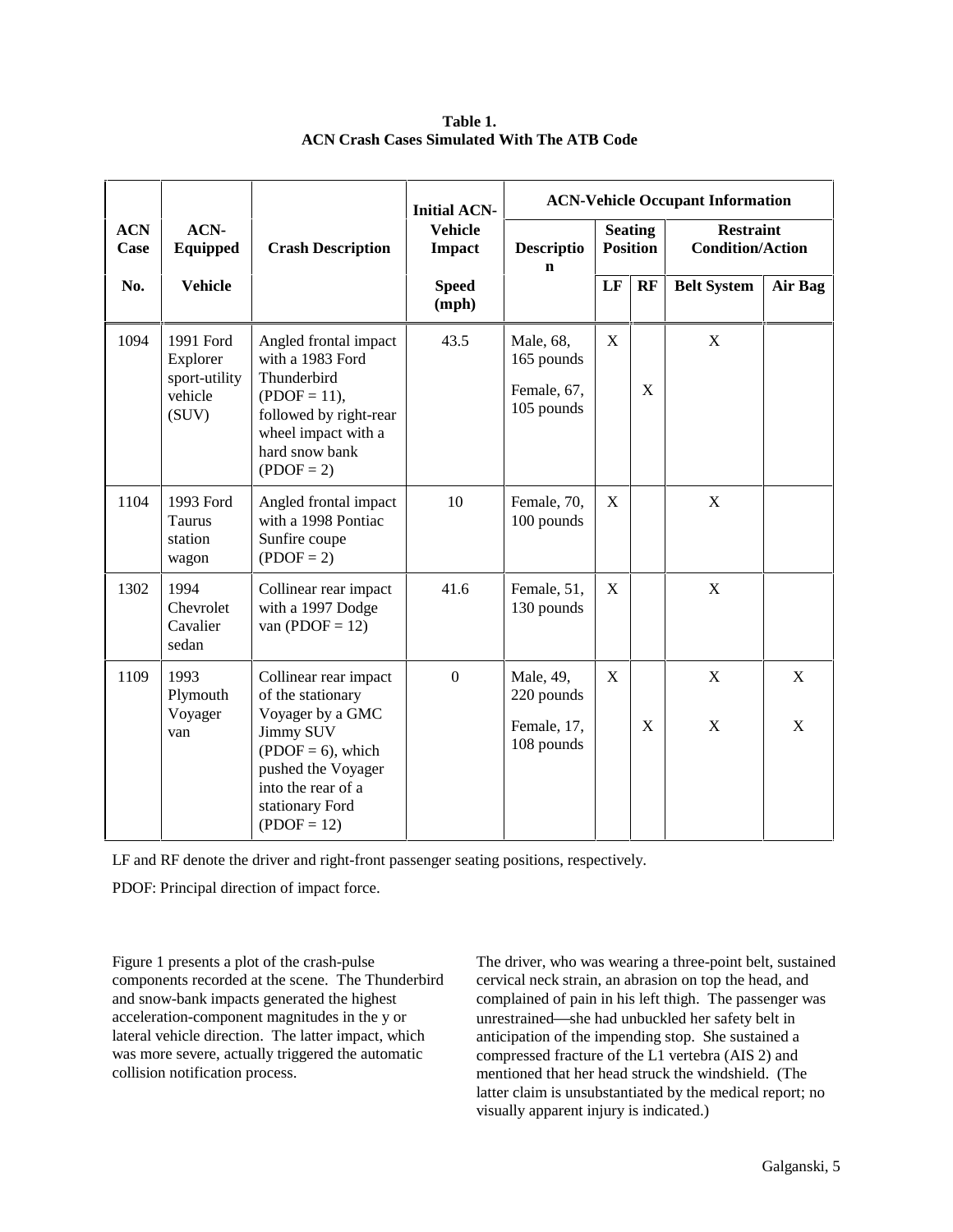|                    | ACN-<br>Equipped                                           | <b>Crash Description</b>                                                                                                                                                            | <b>Initial ACN-</b><br><b>Vehicle</b><br><b>Impact</b> | <b>ACN-Vehicle Occupant Information</b>              |                                   |    |                                             |                  |
|--------------------|------------------------------------------------------------|-------------------------------------------------------------------------------------------------------------------------------------------------------------------------------------|--------------------------------------------------------|------------------------------------------------------|-----------------------------------|----|---------------------------------------------|------------------|
| <b>ACN</b><br>Case |                                                            |                                                                                                                                                                                     |                                                        | Descriptio<br>$\mathbf n$                            | <b>Seating</b><br><b>Position</b> |    | <b>Restraint</b><br><b>Condition/Action</b> |                  |
| No.                | <b>Vehicle</b>                                             |                                                                                                                                                                                     | <b>Speed</b><br>(mph)                                  |                                                      | LF                                | RF | <b>Belt System</b>                          | Air Bag          |
| 1094               | 1991 Ford<br>Explorer<br>sport-utility<br>vehicle<br>(SUV) | Angled frontal impact<br>with a 1983 Ford<br>Thunderbird<br>$(PDOF = 11),$<br>followed by right-rear<br>wheel impact with a<br>hard snow bank<br>$(PDOF = 2)$                       | 43.5                                                   | Male, 68,<br>165 pounds<br>Female, 67,<br>105 pounds | X                                 | X  | X                                           |                  |
| 1104               | 1993 Ford<br>Taurus<br>station<br>wagon                    | Angled frontal impact<br>with a 1998 Pontiac<br>Sunfire coupe<br>$(PDOF = 2)$                                                                                                       | 10                                                     | Female, 70,<br>100 pounds                            | X                                 |    | X                                           |                  |
| 1302               | 1994<br>Chevrolet<br>Cavalier<br>sedan                     | Collinear rear impact<br>with a 1997 Dodge<br>van (PDOF = $12$ )                                                                                                                    | 41.6                                                   | Female, 51,<br>130 pounds                            | X                                 |    | X                                           |                  |
| 1109               | 1993<br>Plymouth<br>Voyager<br>van                         | Collinear rear impact<br>of the stationary<br>Voyager by a GMC<br>Jimmy SUV<br>$(PDOF = 6)$ , which<br>pushed the Voyager<br>into the rear of a<br>stationary Ford<br>$(PDOF = 12)$ | $\boldsymbol{0}$                                       | Male, 49,<br>220 pounds<br>Female, 17,<br>108 pounds | X                                 | X  | X<br>X                                      | $\mathbf X$<br>X |

**Table 1. ACN Crash Cases Simulated With The ATB Code**

LF and RF denote the driver and right-front passenger seating positions, respectively.

PDOF: Principal direction of impact force.

Figure 1 presents a plot of the crash-pulse components recorded at the scene. The Thunderbird and snow-bank impacts generated the highest acceleration-component magnitudes in the y or lateral vehicle direction. The latter impact, which was more severe, actually triggered the automatic collision notification process.

The driver, who was wearing a three-point belt, sustained cervical neck strain, an abrasion on top the head, and complained of pain in his left thigh. The passenger was unrestrained-she had unbuckled her safety belt in anticipation of the impending stop. She sustained a compressed fracture of the L1 vertebra (AIS 2) and mentioned that her head struck the windshield. (The latter claim is unsubstantiated by the medical report; no visually apparent injury is indicated.)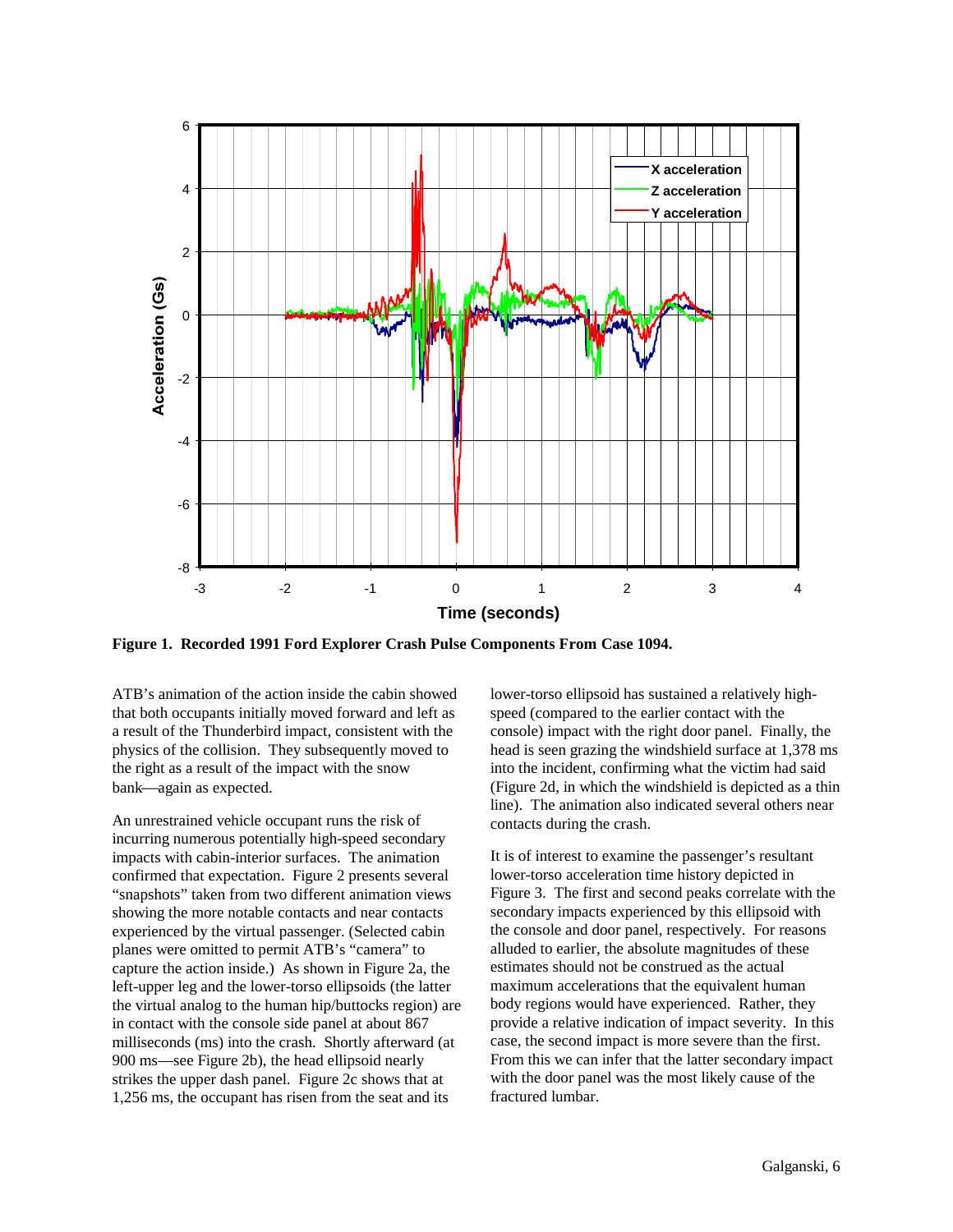

**Figure 1. Recorded 1991 Ford Explorer Crash Pulse Components From Case 1094.** 

ATB's animation of the action inside the cabin showed that both occupants initially moved forward and left as a result of the Thunderbird impact, consistent with the physics of the collision. They subsequently moved to the right as a result of the impact with the snow bank—again as expected.

An unrestrained vehicle occupant runs the risk of incurring numerous potentially high-speed secondary impacts with cabin-interior surfaces. The animation confirmed that expectation. Figure 2 presents several "snapshots" taken from two different animation views showing the more notable contacts and near contacts experienced by the virtual passenger. (Selected cabin planes were omitted to permit ATB's "camera" to capture the action inside.) As shown in Figure 2a, the left-upper leg and the lower-torso ellipsoids (the latter the virtual analog to the human hip/buttocks region) are in contact with the console side panel at about 867 milliseconds (ms) into the crash. Shortly afterward (at 900 ms—see Figure 2b), the head ellipsoid nearly strikes the upper dash panel. Figure 2c shows that at 1,256 ms, the occupant has risen from the seat and its

lower-torso ellipsoid has sustained a relatively highspeed (compared to the earlier contact with the console) impact with the right door panel. Finally, the head is seen grazing the windshield surface at 1,378 ms into the incident, confirming what the victim had said (Figure 2d, in which the windshield is depicted as a thin line). The animation also indicated several others near contacts during the crash.

It is of interest to examine the passenger's resultant lower-torso acceleration time history depicted in Figure 3. The first and second peaks correlate with the secondary impacts experienced by this ellipsoid with the console and door panel, respectively. For reasons alluded to earlier, the absolute magnitudes of these estimates should not be construed as the actual maximum accelerations that the equivalent human body regions would have experienced. Rather, they provide a relative indication of impact severity. In this case, the second impact is more severe than the first. From this we can infer that the latter secondary impact with the door panel was the most likely cause of the fractured lumbar.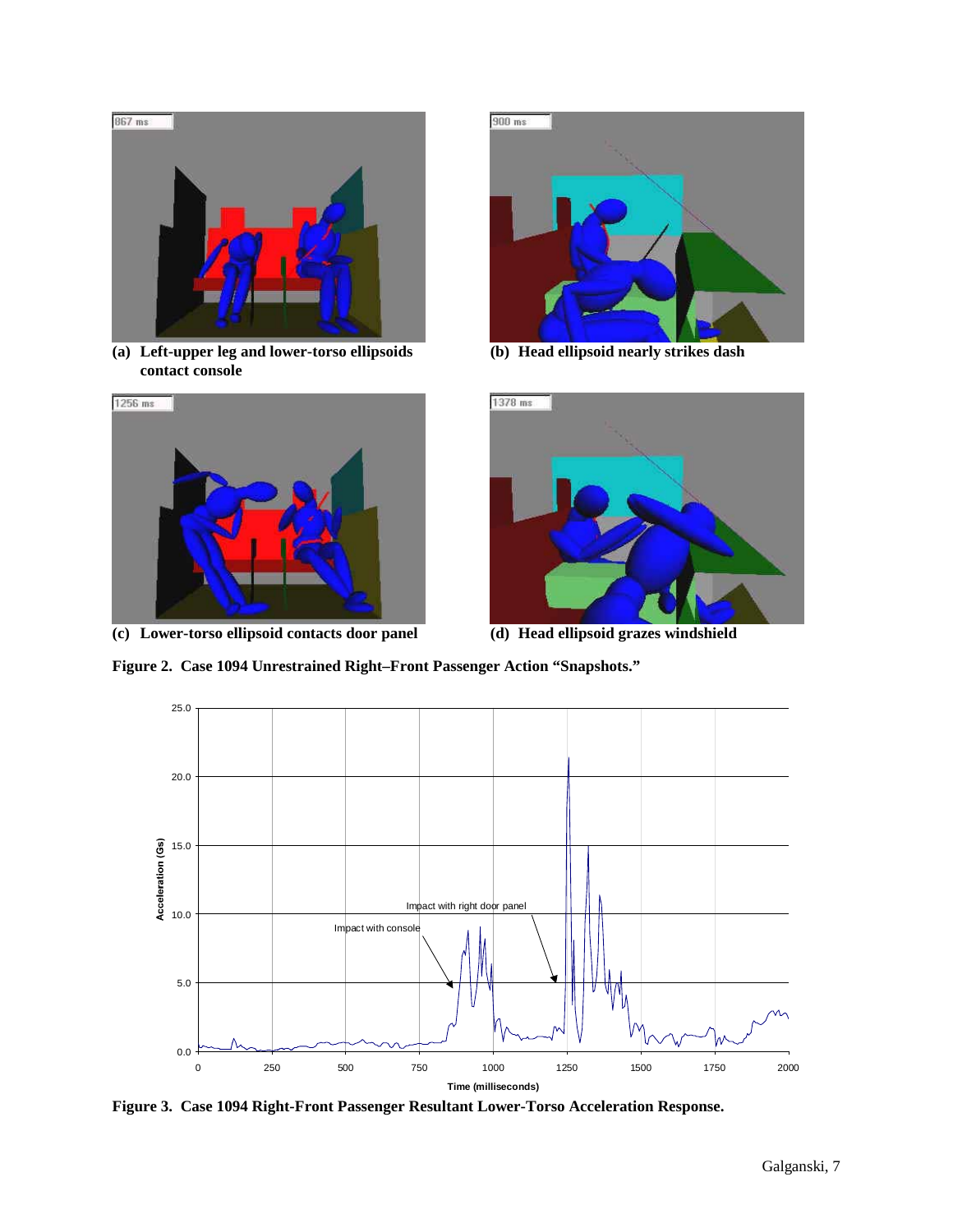

**(a) Left-upper leg and lower-torso ellipsoids (b) Head ellipsoid nearly strikes dash contact console** 



**(c) Lower-torso ellipsoid contacts door panel (d) Head ellipsoid grazes windshield** 





**Figure 2. Case 1094 Unrestrained Right–Front Passenger Action "Snapshots."** 



**Figure 3. Case 1094 Right-Front Passenger Resultant Lower-Torso Acceleration Response.**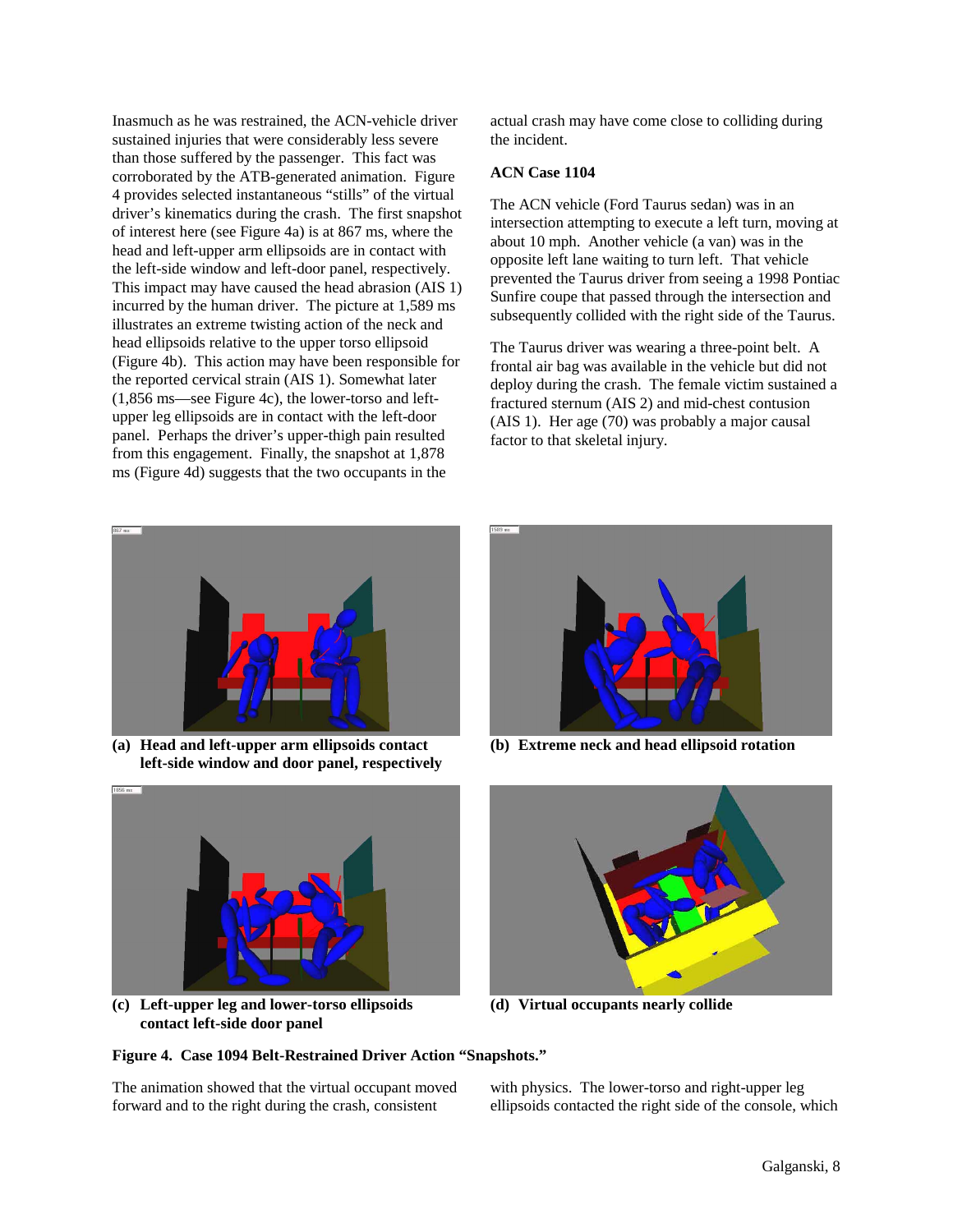Inasmuch as he was restrained, the ACN-vehicle driver sustained injuries that were considerably less severe than those suffered by the passenger. This fact was corroborated by the ATB-generated animation. Figure 4 provides selected instantaneous "stills" of the virtual driver's kinematics during the crash. The first snapshot of interest here (see Figure 4a) is at 867 ms, where the head and left-upper arm ellipsoids are in contact with the left-side window and left-door panel, respectively. This impact may have caused the head abrasion (AIS 1) incurred by the human driver. The picture at 1,589 ms illustrates an extreme twisting action of the neck and head ellipsoids relative to the upper torso ellipsoid (Figure 4b). This action may have been responsible for the reported cervical strain (AIS 1). Somewhat later (1,856 ms—see Figure 4c), the lower-torso and leftupper leg ellipsoids are in contact with the left-door panel. Perhaps the driver's upper-thigh pain resulted from this engagement. Finally, the snapshot at 1,878 ms (Figure 4d) suggests that the two occupants in the



**(a) Head and left-upper arm ellipsoids contact (b) Extreme neck and head ellipsoid rotation left-side window and door panel, respectively** 



**(c) Left-upper leg and lower-torso ellipsoids (d) Virtual occupants nearly collide contact left-side door panel** 

actual crash may have come close to colliding during the incident.

### **ACN Case 1104**

The ACN vehicle (Ford Taurus sedan) was in an intersection attempting to execute a left turn, moving at about 10 mph. Another vehicle (a van) was in the opposite left lane waiting to turn left. That vehicle prevented the Taurus driver from seeing a 1998 Pontiac Sunfire coupe that passed through the intersection and subsequently collided with the right side of the Taurus.

The Taurus driver was wearing a three-point belt. A frontal air bag was available in the vehicle but did not deploy during the crash. The female victim sustained a fractured sternum (AIS 2) and mid-chest contusion (AIS 1). Her age (70) was probably a major causal factor to that skeletal injury.





#### **Figure 4. Case 1094 Belt-Restrained Driver Action "Snapshots."**

The animation showed that the virtual occupant moved forward and to the right during the crash, consistent

with physics. The lower-torso and right-upper leg ellipsoids contacted the right side of the console, which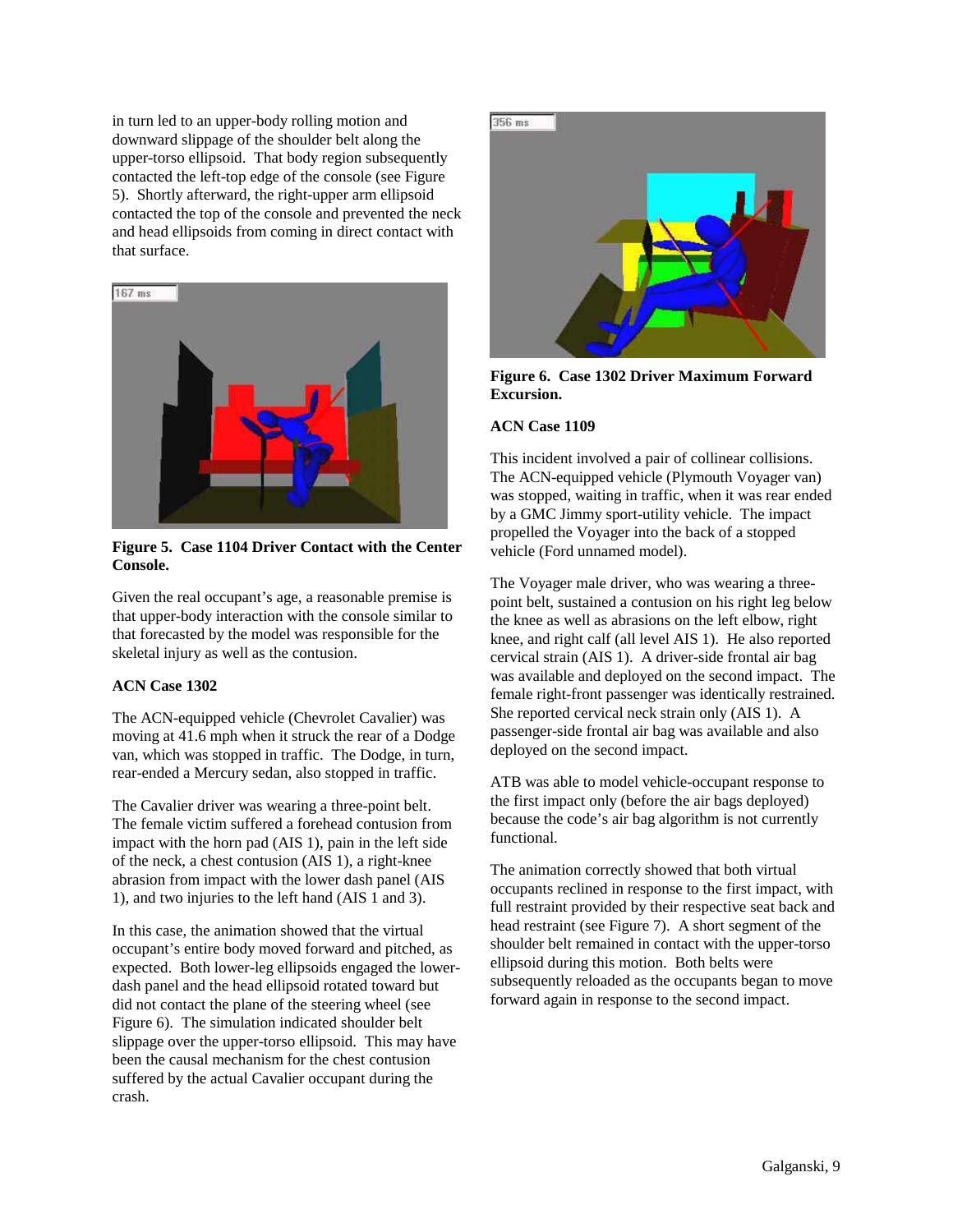in turn led to an upper-body rolling motion and downward slippage of the shoulder belt along the upper-torso ellipsoid. That body region subsequently contacted the left-top edge of the console (see Figure 5). Shortly afterward, the right-upper arm ellipsoid contacted the top of the console and prevented the neck and head ellipsoids from coming in direct contact with that surface.



**Figure 5. Case 1104 Driver Contact with the Center Console.** 

Given the real occupant's age, a reasonable premise is that upper-body interaction with the console similar to that forecasted by the model was responsible for the skeletal injury as well as the contusion.

# **ACN Case 1302**

The ACN-equipped vehicle (Chevrolet Cavalier) was moving at 41.6 mph when it struck the rear of a Dodge van, which was stopped in traffic. The Dodge, in turn, rear-ended a Mercury sedan, also stopped in traffic.

The Cavalier driver was wearing a three-point belt. The female victim suffered a forehead contusion from impact with the horn pad (AIS 1), pain in the left side of the neck, a chest contusion (AIS 1), a right-knee abrasion from impact with the lower dash panel (AIS 1), and two injuries to the left hand (AIS 1 and 3).

In this case, the animation showed that the virtual occupant's entire body moved forward and pitched, as expected. Both lower-leg ellipsoids engaged the lowerdash panel and the head ellipsoid rotated toward but did not contact the plane of the steering wheel (see Figure 6). The simulation indicated shoulder belt slippage over the upper-torso ellipsoid. This may have been the causal mechanism for the chest contusion suffered by the actual Cavalier occupant during the crash.



**Figure 6. Case 1302 Driver Maximum Forward Excursion.** 

# **ACN Case 1109**

This incident involved a pair of collinear collisions. The ACN-equipped vehicle (Plymouth Voyager van) was stopped, waiting in traffic, when it was rear ended by a GMC Jimmy sport-utility vehicle. The impact propelled the Voyager into the back of a stopped vehicle (Ford unnamed model).

The Voyager male driver, who was wearing a threepoint belt, sustained a contusion on his right leg below the knee as well as abrasions on the left elbow, right knee, and right calf (all level AIS 1). He also reported cervical strain (AIS 1). A driver-side frontal air bag was available and deployed on the second impact. The female right-front passenger was identically restrained. She reported cervical neck strain only (AIS 1). A passenger-side frontal air bag was available and also deployed on the second impact.

ATB was able to model vehicle-occupant response to the first impact only (before the air bags deployed) because the code's air bag algorithm is not currently functional.

The animation correctly showed that both virtual occupants reclined in response to the first impact, with full restraint provided by their respective seat back and head restraint (see Figure 7). A short segment of the shoulder belt remained in contact with the upper-torso ellipsoid during this motion. Both belts were subsequently reloaded as the occupants began to move forward again in response to the second impact.